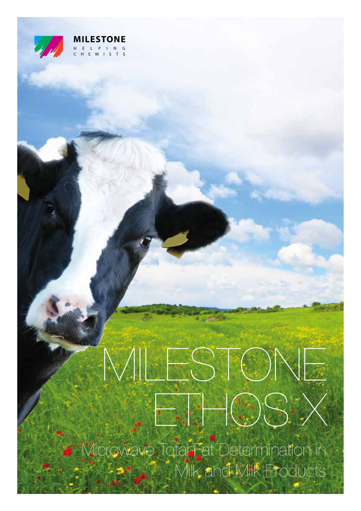

#### **MILESTONE** HELPING CHEMISTS

# MILESTONE  $E_{\text{eff}}$

Microwave Total Fat Determination in **Milk and Milk Products**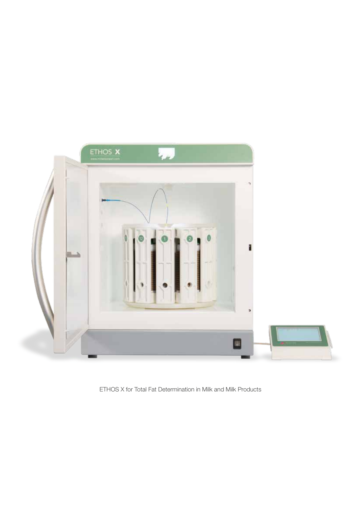

ETHOS X for Total Fat Determination in Milk and Milk Products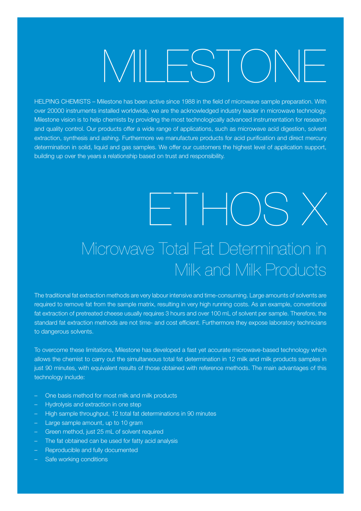## MILESTONE

HELPING CHEMISTS – Milestone has been active since 1988 in the field of microwave sample preparation. With over 20000 instruments installed worldwide, we are the acknowledged industry leader in microwave technology. Milestone vision is to help chemists by providing the most technologically advanced instrumentation for research and quality control. Our products offer a wide range of applications, such as microwave acid digestion, solvent extraction, synthesis and ashing. Furthermore we manufacture products for acid purification and direct mercury determination in solid, liquid and gas samples. We offer our customers the highest level of application support, building up over the years a relationship based on trust and responsibility.

#### ETHOS X Microwave Total Fat Determination in Milk and Milk Products

The traditional fat extraction methods are very labour intensive and time-consuming. Large amounts of solvents are required to remove fat from the sample matrix, resulting in very high running costs. As an example, conventional fat extraction of pretreated cheese usually requires 3 hours and over 100 mL of solvent per sample. Therefore, the standard fat extraction methods are not time- and cost efficient. Furthermore they expose laboratory technicians to dangerous solvents.

To overcome these limitations, Milestone has developed a fast yet accurate microwave-based technology which allows the chemist to carry out the simultaneous total fat determination in 12 milk and milk products samples in just 90 minutes, with equivalent results of those obtained with reference methods. The main advantages of this technology include:

- One basis method for most milk and milk products
- Hydrolysis and extraction in one step
- High sample throughput, 12 total fat determinations in 90 minutes
- Large sample amount, up to 10 gram
- Green method, just 25 mL of solvent required
- The fat obtained can be used for fatty acid analysis
- Reproducible and fully documented
- Safe working conditions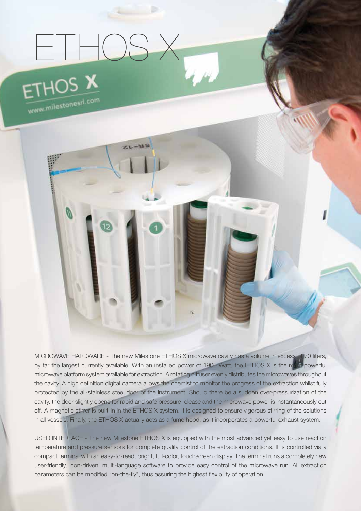#### ETHOS X ETHOS X

 $ZL - MS$ 

www.milestonesrl.com

MICROWAVE HARDWARE - The new Milestone ETHOS X microwave cavity has a volume in excess of 70 liters, by far the largest currently available. With an installed power of 1900 Watt, the ETHOS X is the most powerful microwave platform system available for extraction. A rotating diffuser evenly distributes the microwaves throughout the cavity. A high definition digital camera allows the chemist to monitor the progress of the extraction whilst fully protected by the all-stainless steel door of the instrument. Should there be a sudden over-pressurization of the cavity, the door slightly opens for rapid and safe pressure release and the microwave power is instantaneously cut off. A magnetic stirrer is built-in in the ETHOS X system. It is designed to ensure vigorous stirring of the solutions in all vessels. Finally, the ETHOS X actually acts as a fume hood, as it incorporates a powerful exhaust system.

USER INTERFACE - The new Milestone ETHOS X is equipped with the most advanced yet easy to use reaction temperature and pressure sensors for complete quality control of the extraction conditions. It is controlled via a compact terminal with an easy-to-read, bright, full-color, touchscreen display. The terminal runs a completely new user-friendly, icon-driven, multi-language software to provide easy control of the microwave run. All extraction parameters can be modified "on-the-fly", thus assuring the highest flexibility of operation.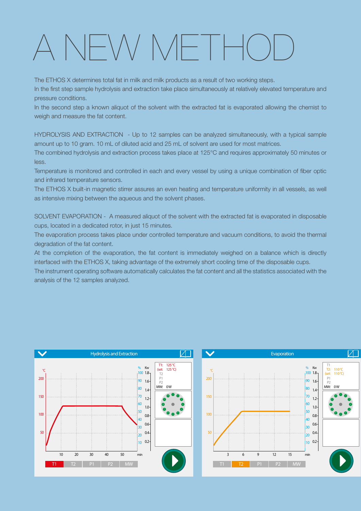#### A NEW METH

The ETHOS X determines total fat in milk and milk products as a result of two working steps.

In the first step sample hydrolysis and extraction take place simultaneously at relatively elevated temperature and pressure conditions.

In the second step a known aliquot of the solvent with the extracted fat is evaporated allowing the chemist to weigh and measure the fat content.

HYDROLYSIS AND EXTRACTION - Up to 12 samples can be analyzed simultaneously, with a typical sample amount up to 10 gram. 10 mL of diluted acid and 25 mL of solvent are used for most matrices.

The combined hydrolysis and extraction process takes place at 125°C and requires approximately 50 minutes or less.

Temperature is monitored and controlled in each and every vessel by using a unique combination of fiber optic and infrared temperature sensors.

The ETHOS X built-in magnetic stirrer assures an even heating and temperature uniformity in all vessels, as well as intensive mixing between the aqueous and the solvent phases.

SOLVENT EVAPORATION - A measured aliquot of the solvent with the extracted fat is evaporated in disposable cups, located in a dedicated rotor, in just 15 minutes.

The evaporation process takes place under controlled temperature and vacuum conditions, to avoid the thermal degradation of the fat content.

At the completion of the evaporation, the fat content is immediately weighed on a balance which is directly interfaced with the ETHOS X, taking advantage of the extremely short cooling time of the disposable cups.

The instrument operating software automatically calculates the fat content and all the statistics associated with the analysis of the 12 samples analyzed.



110 °C 110 °C)

**م**<br>5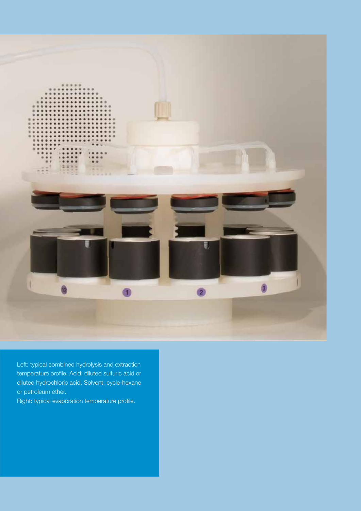

Left: typical combined hydrolysis and extraction temperature profile. Acid: diluted sulfuric acid or diluted hydrochloric acid. Solvent: cycle-hexane or petroleum ether.

Right: typical evaporation temperature profile.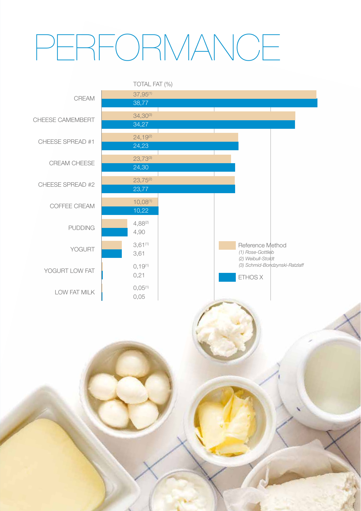## REORMANCE